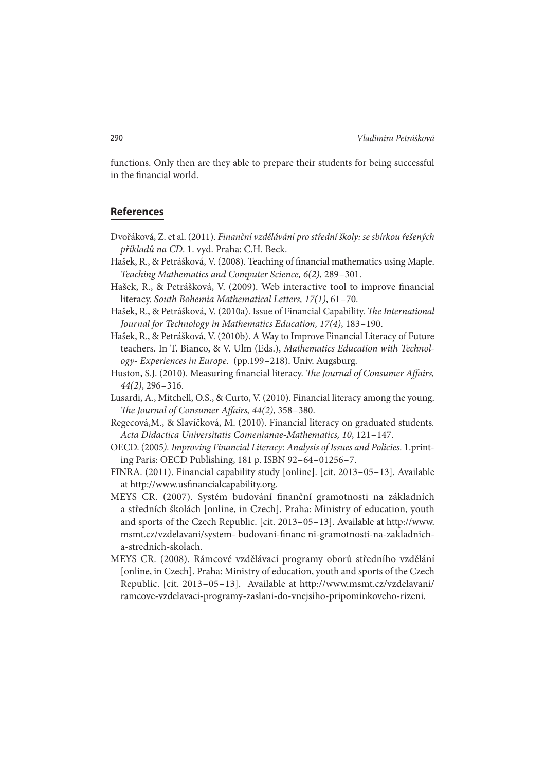functions. Only then are they able to prepare their students for being successful in the financial world.

## **References**

- Dvořáková, Z. et al. (2011). Finanční vzdělávání pro střední školy: se sbírkou řešených příkladů na CD. 1. vyd. Praha: C.H. Beck.
- Hašek, R., & Petrášková, V. (2008). Teaching of financial mathematics using Maple. Teaching Mathematics and Computer Science, 6(2), 289 – 301.
- Hašek, R., & Petrášková, V. (2009). Web interactive tool to improve financial literacy. South Bohemia Mathematical Letters, 17(1), 61-70.
- Hašek, R., & Petrášková, V. (2010a). Issue of Financial Capability. The International Journal for Technology in Mathematics Education, 17(4), 183 – 190.
- Hašek, R., & Petrášková, V. (2010b). A Way to Improve Financial Literacy of Future teachers. In T. Bianco, & V. Ulm (Eds.), Mathematics Education with Technology- Experiences in Europe. (pp.199 – 218). Univ. Augsburg.
- Huston, S.J. (2010). Measuring financial literacy. The Journal of Consumer Affairs,  $44(2)$ , 296-316.
- Lusardi, A., Mitchell, O.S., & Curto, V. (2010). Financial literacy among the young. The Journal of Consumer Affairs,  $44(2)$ ,  $358-380$ .
- Regecová,M., & Slavíčková, M. (2010). Financial literacy on graduated students. Acta Didactica Universitatis Comenianae-Mathematics, 10, 121 – 147.
- OECD. (2005). Improving Financial Literacy: Analysis of Issues and Policies. 1.printing Paris: OECD Publishing, 181 p. ISBN 92 – 64 – 01256 – 7.
- FINRA. (2011). Financial capability study [online]. [cit. 2013 05 13]. Available at http://www.usfinancialcapability.org.
- MEYS CR. (2007). Systém budování finanční gramotnosti na základních a středních školách [online, in Czech]. Praha: Ministry of education, youth and sports of the Czech Republic. [cit. 2013 – 05 – 13]. Available at http://www. msmt.cz/vzdelavani/system- budovani-financ ni-gramotnosti-na-zakladnicha-strednich-skolach.
- MEYS CR. (2008). Rámcové vzdělávací programy oborů středního vzdělání [online, in Czech]. Praha: Ministry of education, youth and sports of the Czech Republic. [cit. 2013-05-13]. Available at http://www.msmt.cz/vzdelavani/ ramcove-vzdelavaci-programy-zaslani-do-vnejsiho-pripominkoveho-rizeni.